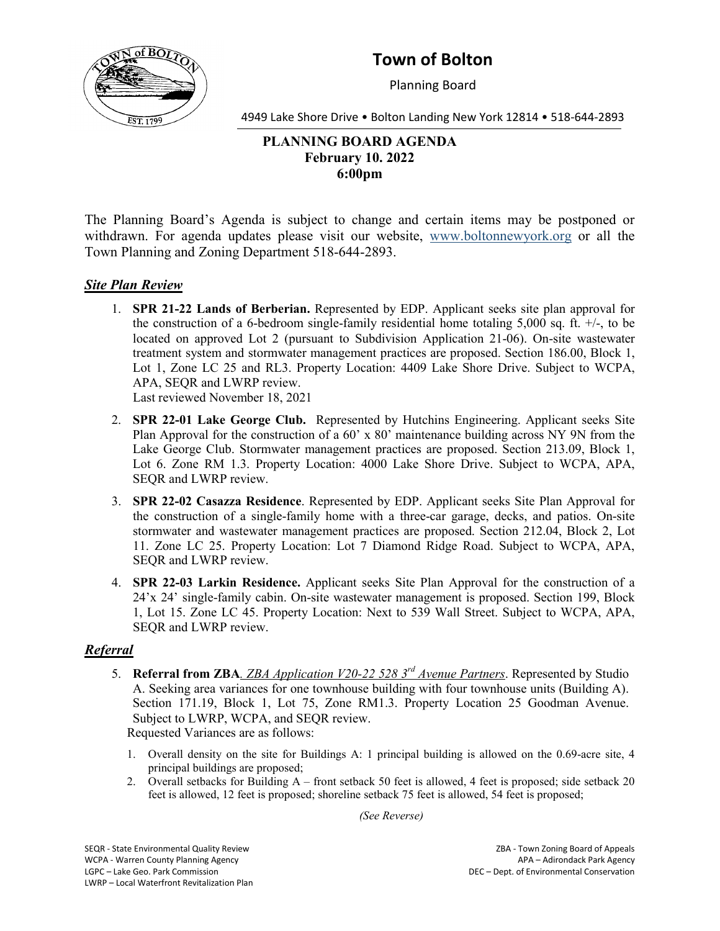

# **Town of Bolton**

Planning Board

4949 Lake Shore Drive • Bolton Landing New York 12814 • 518-644-2893

## **PLANNING BOARD AGENDA February 10. 2022 6:00pm**

The Planning Board's Agenda is subject to change and certain items may be postponed or withdrawn. For agenda updates please visit our website, [www.boltonnewyork.org](http://www.boltonnewyork.org/) or all the Town Planning and Zoning Department 518-644-2893.

### *Site Plan Review*

1. **SPR 21-22 Lands of Berberian.** Represented by EDP. Applicant seeks site plan approval for the construction of a 6-bedroom single-family residential home totaling 5,000 sq. ft. +/-, to be located on approved Lot 2 (pursuant to Subdivision Application 21-06). On-site wastewater treatment system and stormwater management practices are proposed. Section 186.00, Block 1, Lot 1, Zone LC 25 and RL3. Property Location: 4409 Lake Shore Drive. Subject to WCPA, APA, SEQR and LWRP review.

Last reviewed November 18, 2021

- 2. **SPR 22-01 Lake George Club.** Represented by Hutchins Engineering. Applicant seeks Site Plan Approval for the construction of a 60' x 80' maintenance building across NY 9N from the Lake George Club. Stormwater management practices are proposed. Section 213.09, Block 1, Lot 6. Zone RM 1.3. Property Location: 4000 Lake Shore Drive. Subject to WCPA, APA, SEQR and LWRP review.
- 3. **SPR 22-02 Casazza Residence**. Represented by EDP. Applicant seeks Site Plan Approval for the construction of a single-family home with a three-car garage, decks, and patios. On-site stormwater and wastewater management practices are proposed. Section 212.04, Block 2, Lot 11. Zone LC 25. Property Location: Lot 7 Diamond Ridge Road. Subject to WCPA, APA, SEQR and LWRP review.
- 4. **SPR 22-03 Larkin Residence.** Applicant seeks Site Plan Approval for the construction of a 24'x 24' single-family cabin. On-site wastewater management is proposed. Section 199, Block 1, Lot 15. Zone LC 45. Property Location: Next to 539 Wall Street. Subject to WCPA, APA, SEQR and LWRP review.

#### *Referral*

- 5. **Referral from ZBA***. ZBA Application V20-22 528 3rd Avenue Partners*. Represented by Studio A. Seeking area variances for one townhouse building with four townhouse units (Building A). Section 171.19, Block 1, Lot 75, Zone RM1.3. Property Location 25 Goodman Avenue. Subject to LWRP, WCPA, and SEQR review. Requested Variances are as follows:
	- 1. Overall density on the site for Buildings A: 1 principal building is allowed on the 0.69-acre site, 4 principal buildings are proposed;
	- 2. Overall setbacks for Building A front setback 50 feet is allowed, 4 feet is proposed; side setback 20 feet is allowed, 12 feet is proposed; shoreline setback 75 feet is allowed, 54 feet is proposed;

*(See Reverse)*